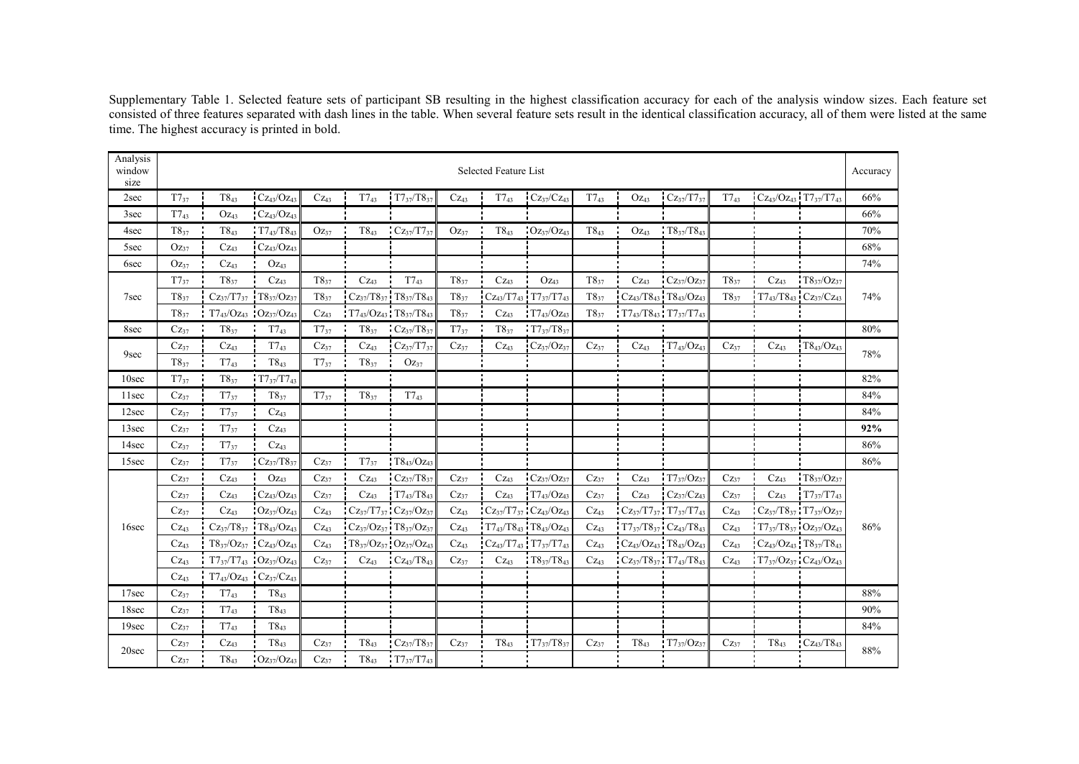Supplementary Table 1. Selected feature sets of participant SB resulting in the highest classification accuracy for each of the analysis window sizes. Each feature set consisted of three features separated with dash lines in the table. When several feature sets result in the identical classification accuracy, all of them were listed at the same time. The highest accuracy is printed in bold.

| Analysis<br>window<br>size |           |                   |                                     |                  |                                              |                                                      |           | Selected Feature List                    |                                         |                  |                                                 |                                                                         |           |                                                      |                                     | Accuracy |
|----------------------------|-----------|-------------------|-------------------------------------|------------------|----------------------------------------------|------------------------------------------------------|-----------|------------------------------------------|-----------------------------------------|------------------|-------------------------------------------------|-------------------------------------------------------------------------|-----------|------------------------------------------------------|-------------------------------------|----------|
| 2sec                       | $T7_{37}$ | $T8_{43}$         | $Cz_{43}/Oz_{43}$                   | $Cz_{43}$        | $T7_{43}$                                    | $T7_{37}/T8_{37}$                                    | $Cz_{43}$ | $T7_{43}$                                | $C_{Z_37}/C_{Z_{43}}$                   | $T7_{43}$        | $Oz_{43}$                                       | $C_{Z_37}/T7_{37}$                                                      | $T7_{43}$ |                                                      | $Cz_{43}/Oz_{43}$ $T7_{37}/T7_{43}$ | 66%      |
| 3sec                       | $T7_{43}$ | $Oz_{43}$         | $Cz_{43}/Oz_{43}$                   |                  |                                              |                                                      |           |                                          |                                         |                  |                                                 |                                                                         |           |                                                      |                                     | 66%      |
| 4sec                       | $T8_{37}$ | T8 <sub>43</sub>  | $T7_{43}/T8_{43}$                   | Oz <sub>37</sub> | $T8_{43}$                                    | $C_{Z37}/T7_{37}$                                    | $Oz_{37}$ | T8 <sub>43</sub>                         | $Oz_{37}/Oz_{43}$                       | T8 <sub>43</sub> | Oz <sub>43</sub>                                | $T8_{37}/T8_{43}$                                                       |           |                                                      |                                     | 70%      |
| 5sec                       | $Oz_{37}$ | $Cz_{43}$         | $Cz_{43}/Oz_{43}$                   |                  |                                              |                                                      |           |                                          |                                         |                  |                                                 |                                                                         |           |                                                      |                                     | 68%      |
| 6sec                       | $Oz_{37}$ | $Cz_{43}$         | $Oz_{43}$                           |                  |                                              |                                                      |           |                                          |                                         |                  |                                                 |                                                                         |           |                                                      |                                     | 74%      |
|                            | $T7_{37}$ | $T8_{37}$         | $Cz_{43}$                           | $T8_{37}$        | $Cz_{43}$                                    | $T7_{43}$                                            | $T8_{37}$ | $Cz_{43}$                                | Oz <sub>43</sub>                        | $T8_{37}$        | Cz <sub>43</sub>                                | $Cz_{37}/Oz_{37}$                                                       | $T8_{37}$ | $Cz_{43}$                                            | $T8_{37}/Oz_{37}$                   |          |
| 7sec                       | $T8_{37}$ | $Cz_{37}/T7_{37}$ | $T8_{37}/Oz_{37}$                   | $T8_{37}$        |                                              | $Cz_{37}/T8_{37}$ $T8_{37}/T8_{43}$                  | $T8_{37}$ |                                          | $Cz_{43}/T7_{43} \cdot T7_{37}/T7_{43}$ | $T8_{37}$        |                                                 | Cz <sub>43</sub> /T8 <sub>43</sub> · T8 <sub>43</sub> /Oz <sub>43</sub> | $T8_{37}$ |                                                      | $T7_{43}/T8_{43}$ $Cz_{37}/Cz_{43}$ | 74%      |
|                            | $T8_{37}$ |                   | $T7_{43}/Oz_{43}$ $Oz_{37}/Oz_{43}$ | $Cz_{43}$        | $T7_{43}/Oz_{43}$ $T8_{37}/T8_{43}$          |                                                      | $T8_{37}$ | $Cz_{43}$                                | $T7_{43}/Oz_{43}$                       | $T8_{37}$        | $T7_{43}/T8_{43}$ $T7_{37}/T7_{43}$             |                                                                         |           |                                                      |                                     |          |
| 8sec                       | $Cz_{37}$ | $T8_{37}$         | $T7_{43}$                           | $T7_{37}$        | $T8_{37}$                                    | $C_{Z_37}/T8_{37}$                                   | $T7_{37}$ | $T8_{37}$                                | $T7_{37}/T8_{37}$                       |                  |                                                 |                                                                         |           |                                                      |                                     | 80%      |
| 9sec                       | $Cz_{37}$ | $Cz_{43}$         | $T7_{43}$                           | $Cz_{37}$        | $Cz_{43}$                                    | $Cz_{37}/T7_{37}$                                    | $Cz_{37}$ | $Cz_{43}$                                | $Cz_{37}/Oz_{37}$                       | $Cz_{37}$        | $Cz_{43}$                                       | $T7_{43}/Oz_{43}$                                                       | $Cz_{37}$ | $Cz_{43}$                                            | $T8_{43}/Oz_{43}$                   | 78%      |
|                            | $T8_{37}$ | $T7_{43}$         | T8 <sub>43</sub>                    | $T7_{37}$        | $T8_{37}$                                    | $Oz_{37}$                                            |           |                                          |                                         |                  |                                                 |                                                                         |           |                                                      |                                     |          |
| 10sec                      | $T7_{37}$ | $T8_{37}$         | $T7_{37}/T7_{43}$                   |                  |                                              |                                                      |           |                                          |                                         |                  |                                                 |                                                                         |           |                                                      |                                     | 82%      |
| 11sec                      | $Cz_{37}$ | $T7_{37}$         | $T8_{37}$                           | $T7_{37}$        | $T8_{37}$                                    | $T7_{43}$                                            |           |                                          |                                         |                  |                                                 |                                                                         |           |                                                      |                                     | 84%      |
| 12sec                      | $Cz_{37}$ | $T7_{37}$         | $Cz_{43}$                           |                  |                                              |                                                      |           |                                          |                                         |                  |                                                 |                                                                         |           |                                                      |                                     | 84%      |
| 13sec                      | $Cz_{37}$ | $T7_{37}$         | $Cz_{43}$                           |                  |                                              |                                                      |           |                                          |                                         |                  |                                                 |                                                                         |           |                                                      |                                     | 92%      |
| 14sec                      | $Cz_{37}$ | $T7_{37}$         | $Cz_{43}$                           |                  |                                              |                                                      |           |                                          |                                         |                  |                                                 |                                                                         |           |                                                      |                                     | 86%      |
| 15sec                      | $Cz_{37}$ | $T7_{37}$         | $C_{Z_37}/T8_{37}$                  | $Cz_{37}$        | $T7_{37}$                                    | $T8_{43}/Oz_{43}$                                    |           |                                          |                                         |                  |                                                 |                                                                         |           |                                                      |                                     | 86%      |
|                            | $Cz_{37}$ | $Cz_{43}$         | Oz <sub>43</sub>                    | $Cz_{37}$        | $Cz_{43}$                                    | $Cz_{37}/T8_{37}$                                    | $Cz_{37}$ | Cz <sub>43</sub>                         | $C_{Z_37}/O_{Z_37}$                     | $Cz_{37}$        | Cz <sub>43</sub>                                | $T7_{37}/Oz_{37}$                                                       | $Cz_{37}$ | $Cz_{43}$                                            | $T8_{37}/Oz_{37}$                   |          |
|                            | $Cz_{37}$ | $Cz_{43}$         | $Cz_{43}/Oz_{43}$                   | $Cz_{37}$        | $Cz_{43}$                                    | $T7_{43}/T8_{43}$                                    | $Cz_{37}$ | Cz <sub>43</sub>                         | $T7_{43}/Oz_{43}$                       | $Cz_{37}$        | Cz <sub>43</sub>                                | $Cz_{37}/Cz_{43}$                                                       | $Cz_{37}$ | $Cz_{43}$                                            | $T7_{37}/T7_{43}$                   |          |
|                            | $Cz_{37}$ | $Cz_{43}$         | $O_{Z_37}/O_{Z_43}$                 | $Cz_{43}$        | $C_{Z_{37}}/T7_{37}$ $C_{Z_{37}}/O_{Z_{37}}$ |                                                      | $Cz_{43}$ | $C_{Z_37}/T7_{37}$ $C_{Z_43}/O_{Z_{43}}$ |                                         | $Cz_{43}$        | $C_{Z_37}/T7_{37}$ $T7_{37}/T7_{43}$            |                                                                         | $Cz_{43}$ | $C_{Z_37}/T8_{37}$ $T7_{37}/O_{Z_{37}}$              |                                     |          |
| 16sec                      | $Cz_{43}$ |                   | $Cz_{37}/T8_{37}$ $T8_{43}/Oz_{43}$ | $Cz_{43}$        |                                              | $Cz_{37}/Oz_{37}$ T8 <sub>37</sub> /Oz <sub>37</sub> | $Cz_{43}$ |                                          | $T7_{43}/T8_{43} \cdot T8_{43}/Oz_{43}$ | $Cz_{43}$        | $T7_{37}/T8_{37}$ $Cz_{43}/T8_{43}$             |                                                                         | $Cz_{43}$ | $T7_{37}/T8_{37}$ Oz <sub>37</sub> /Oz <sub>43</sub> |                                     | 86%      |
|                            | $Cz_{43}$ |                   | $T8_{37}/Oz_{37}$ $Cz_{43}/Oz_{43}$ | $Cz_{43}$        | $T8_{37}/Oz_{37}$ $Oz_{37}/Oz_{43}$          |                                                      | $Cz_{43}$ | $C_{Z_{43}}/T7_{43}$ , $T7_{37}/T7_{43}$ |                                         | $Cz_{43}$        | $C_{Z_{43}}/O_{Z_{43}}$ $T_{8_{43}}/O_{Z_{43}}$ |                                                                         | $Cz_{43}$ | $C_{Z_{43}}/O_{Z_{43}}$ , $T_{8_{37}}/T_{8_{43}}$    |                                     |          |
|                            | $Cz_{43}$ |                   | $T7_{37}/T7_{43}$ $Oz_{37}/Oz_{43}$ | $Cz_{37}$        | $Cz_{43}$                                    | $Cz_{43}/T8_{43}$                                    | $Cz_{37}$ | $Cz_{43}$                                | $T8_{37}/T8_{43}$                       | $Cz_{43}$        | $C_{Z_37}/T8_{37}$ , $T7_{43}/T8_{43}$          |                                                                         | $Cz_{43}$ | $T7_{37}/Oz_{37}$ , $Cz_{43}/Oz_{43}$                |                                     |          |
|                            | $Cz_{43}$ |                   | $T7_{43}/Oz_{43}$ $Cz_{37}/Cz_{43}$ |                  |                                              |                                                      |           |                                          |                                         |                  |                                                 |                                                                         |           |                                                      |                                     |          |
| 17sec                      | $Cz_{37}$ | $T7_{43}$         | $T8_{43}$                           |                  |                                              |                                                      |           |                                          |                                         |                  |                                                 |                                                                         |           |                                                      |                                     | 88%      |
| 18sec                      | $Cz_{37}$ | $T7_{43}$         | $T8_{43}$                           |                  |                                              |                                                      |           |                                          |                                         |                  |                                                 |                                                                         |           |                                                      |                                     | 90%      |
| 19sec                      | $Cz_{37}$ | $T7_{43}$         | $T8_{43}$                           |                  |                                              |                                                      |           |                                          |                                         |                  |                                                 |                                                                         |           |                                                      |                                     | 84%      |
| 20sec                      | $Cz_{37}$ | $Cz_{43}$         | $T8_{43}$                           | $Cz_{37}$        | $T8_{43}$                                    | $Cz_{37}/T8_{37}$                                    | $Cz_{37}$ | $T8_{43}$                                | $T7_{37}/T8_{37}$                       | $Cz_{37}$        | $T8_{43}$                                       | $T7_{37}/Oz_{37}$                                                       | $Cz_{37}$ | $T8_{43}$                                            | $C_{Z_{43}}/T8_{43}$                | 88%      |
|                            | $Cz_{37}$ | $T8_{43}$         | $Oz_{37}/Oz_{43}$                   | $Cz_{37}$        | $T8_{43}$                                    | $T_{37}/T_{43}$                                      |           |                                          |                                         |                  |                                                 |                                                                         |           |                                                      |                                     |          |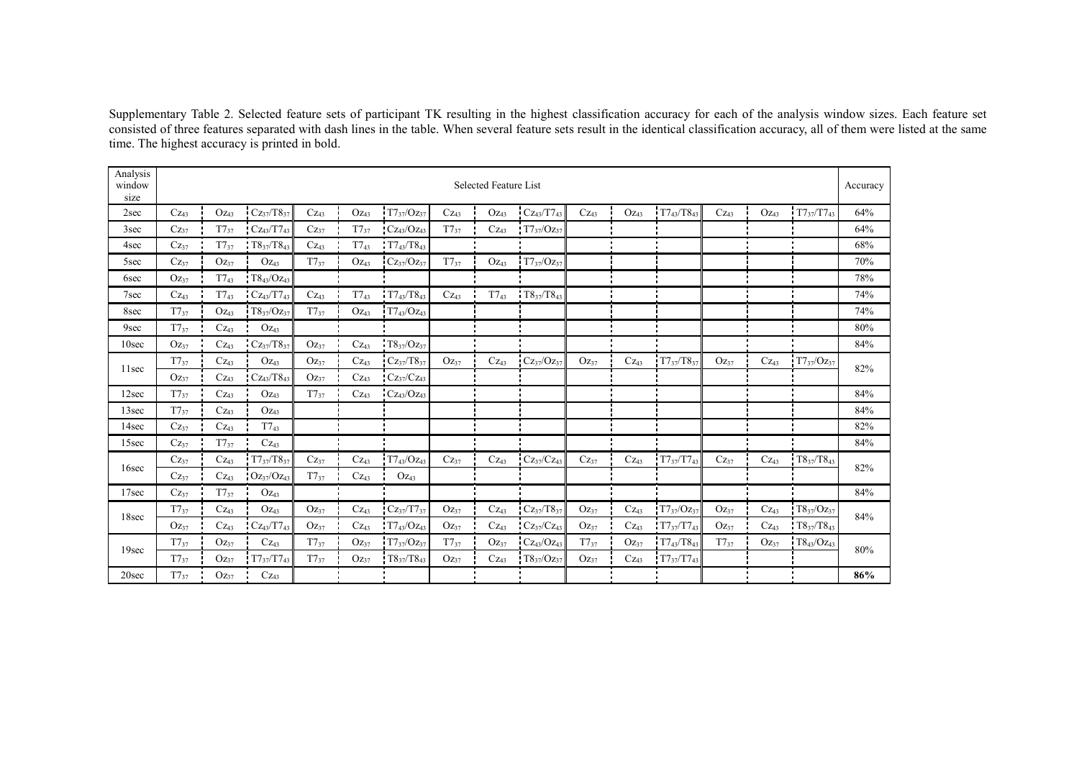Supplementary Table 2. Selected feature sets of participant TK resulting in the highest classification accuracy for each of the analysis window sizes. Each feature set consisted of three features separated with dash lines in the table. When several feature sets result in the identical classification accuracy, all of them were listed at the same time. The highest accuracy is printed in bold.

| Analysis<br>window<br>size |                  |                  |                      |           |                  |                         |                  | Selected Feature List |                      |                  |                |                   |                  |                  |                   | Accuracy |
|----------------------------|------------------|------------------|----------------------|-----------|------------------|-------------------------|------------------|-----------------------|----------------------|------------------|----------------|-------------------|------------------|------------------|-------------------|----------|
| 2sec                       | Cz <sub>43</sub> | Oz <sub>43</sub> | $C_{Z37}/T8_{37}$    | $Cz_{43}$ | $Oz_{43}$        | $T7_{37}/Oz_{37}$       | Cz <sub>43</sub> | $Oz_{43}$             | $C_{Z_{43}}/T7_{43}$ | Cz <sub>43</sub> | $Oz_{43}$      | $T7_{43}/T8_{43}$ | Cz <sub>43</sub> | $Oz_{43}$        | $T7_{37}/T7_{43}$ | 64%      |
| 3sec                       | $Cz_{37}$        | $T7_{37}$        | $C_{Z_{43}}/T7_{43}$ | $Cz_{37}$ | $T7_{37}$        | $Cz_{43}/Oz_{43}$       | $T7_{37}$        | $Cz_{43}$             | $T7_{37}/Oz_3$       |                  |                |                   |                  |                  |                   | 64%      |
| 4sec                       | $Cz_{37}$        | $T7_{37}$        | $T8_{37}/T8_{43}$    | $Cz_{43}$ | $T7_{43}$        | $T7_{43}/T8_{43}$       |                  |                       |                      |                  |                |                   |                  |                  |                   | 68%      |
| 5sec                       | $Cz_{37}$        | $Oz_{37}$        | $Oz_{43}$            | $T7_{37}$ | $Oz_{43}$        | $C_{Z_{37}}/O_{Z_{37}}$ | $T7_{37}$        | $Oz_{43}$             | $T7_{37}/Oz_3$       |                  |                |                   |                  |                  |                   | 70%      |
| 6sec                       | $Oz_{37}$        | $T7_{43}$        | $T8_{43}/Oz_{43}$    |           |                  |                         |                  |                       |                      |                  |                |                   |                  |                  |                   | 78%      |
| 7sec                       | $Cz_{43}$        | $T7_{43}$        | $Cz_{43}/T7_{43}$    | $Cz_{43}$ | $T7_{43}$        | $T7_{43}/T8_{43}$       | $Cz_{43}$        | $T7_{43}$             | $T8_{37}/T8_{43}$    |                  |                |                   |                  |                  |                   | 74%      |
| 8sec                       | $T7_{37}$        | Oz <sub>43</sub> | $T8_{37}/Oz_{37}$    | $T7_{37}$ | Oz <sub>43</sub> | $T7_{43}/Oz_{43}$       |                  |                       |                      |                  |                |                   |                  |                  |                   | 74%      |
| 9sec                       | $T7_{37}$        | $Cz_{43}$        | Oz <sub>43</sub>     |           |                  |                         |                  |                       |                      |                  |                |                   |                  |                  |                   | 80%      |
| 10sec                      | $Oz_{37}$        | $Cz_{43}$        | $C_{Z_37}/T8_{37}$   | $Oz_{37}$ | $Cz_{43}$        | $T8_{37}/Oz_{37}$       |                  |                       |                      |                  |                |                   |                  |                  |                   | 84%      |
| 11sec                      | $T7_{37}$        | $Cz_{43}$        | $Oz_{43}$            | $Oz_{37}$ | $Cz_{43}$        | $Cz_{37}/T8_{37}$       | $Oz_{37}$        | $Cz_{43}$             | $Cz_{37}/Oz_3$       | $Oz_{37}$        | $Cz_{43}$      | $T7_{37}/T8_{37}$ | $Oz_{37}$        | Cz <sub>43</sub> | $T7_{37}/Oz_{37}$ | 82%      |
|                            | $Oz_{37}$        | $Cz_{43}$        | $Cz_{43}/T8_{43}$    | $Oz_{37}$ | $Cz_{43}$        | $C_{Z_37}/C_{Z_{43}}$   |                  |                       |                      |                  |                |                   |                  |                  |                   |          |
| 12sec                      | $T7_{37}$        | $Cz_{43}$        | $Oz_{43}$            | $T7_{37}$ | $Cz_{43}$        | $Cz_{43}/Oz_{43}$       |                  |                       |                      |                  | $\blacksquare$ |                   |                  |                  |                   | 84%      |
| 13sec                      | $T7_{37}$        | $Cz_{43}$        | Oz <sub>43</sub>     |           |                  |                         |                  |                       |                      |                  |                |                   |                  |                  |                   | 84%      |
| 14sec                      | $Cz_{37}$        | $Cz_{43}$        | $T7_{43}$            |           |                  |                         |                  |                       |                      |                  |                |                   |                  |                  |                   | 82%      |
| 15sec                      | $Cz_{37}$        | $T7_{37}$        | $Cz_{43}$            |           |                  |                         |                  |                       |                      |                  |                |                   |                  |                  |                   | 84%      |
| 16sec                      | $Cz_{37}$        | $Cz_{43}$        | $T7_{37}/T8_{37}$    | $Cz_{37}$ | Cz <sub>43</sub> | $T7_{43}/Oz_{43}$       | $Cz_{37}$        | $Cz_{43}$             | $Cz_{37}/Cz_{43}$    | $Cz_{37}$        | $Cz_{43}$      | $T7_{37}/T7_{43}$ | $Cz_{37}$        | $Cz_{43}$        | $T8_{37}/T8_{43}$ | 82%      |
|                            | $Cz_{37}$        | Cz <sub>43</sub> | $Oz_{37}/Oz_{43}$    | $T7_{37}$ | $Cz_{43}$        | $Oz_{43}$               |                  |                       |                      |                  |                |                   |                  |                  |                   |          |
| 17sec                      | $Cz_{37}$        | $T7_{37}$        | $Oz_{43}$            |           |                  |                         |                  |                       |                      |                  |                |                   |                  |                  |                   | 84%      |
| 18sec                      | $T7_{37}$        | $Cz_{43}$        | Oz <sub>43</sub>     | $Oz_{37}$ | $Cz_{43}$        | $C_{Z_37}/T7_{37}$      | $Oz_{37}$        | $Cz_{43}$             | $C_{Z_37}/T8_{37}$   | $Oz_{37}$        | $Cz_{43}$      | $T7_{37}/Oz_3$    | $Oz_{37}$        | Cz <sub>43</sub> | $T8_{37}/Oz_{37}$ | 84%      |
|                            | $Oz_{37}$        | $Cz_{43}$        | $Cz_{43}/T7_{43}$    | $Oz_{37}$ | Cz <sub>43</sub> | $T7_{43}/Oz_{43}$       | Oz <sub>37</sub> | $Cz_{43}$             | $Cz_{37}/Cz_{43}$    | $Oz_{37}$        | $Cz_{43}$      | $T_{37}/T_{43}$   | $Oz_{37}$        | $Cz_{43}$        | T837/T843         |          |
|                            | $T7_{37}$        | $Oz_{37}$        | $Cz_{43}$            | $T7_{37}$ | $Oz_{37}$        | $T7_{37}/Oz_{37}$       | $T7_{37}$        | $Oz_{37}$             | $Cz_{43}/Oz_{43}$    | $T7_{37}$        | $Oz_{37}$      | $T7_{43}/T8_{43}$ | $T7_{37}$        | $Oz_{37}$        | $T8_{43}/Oz_{43}$ | 80%      |
| 19sec                      | $T7_{37}$        | $Oz_{37}$        | $T7_{37}/T7_{43}$    | $T7_{37}$ | $Oz_{37}$        | $T8_{37}/T8_{43}$       | $Oz_{37}$        | $Cz_{43}$             | $T8_{37}/Oz_3$       | $Oz_{37}$        | $Cz_{43}$      | $T7_{37}/T7_{43}$ |                  |                  |                   |          |
| 20sec                      | $T7_{37}$        | $Oz_{37}$        | $Cz_{43}$            |           |                  |                         |                  |                       |                      |                  |                |                   |                  |                  |                   | 86%      |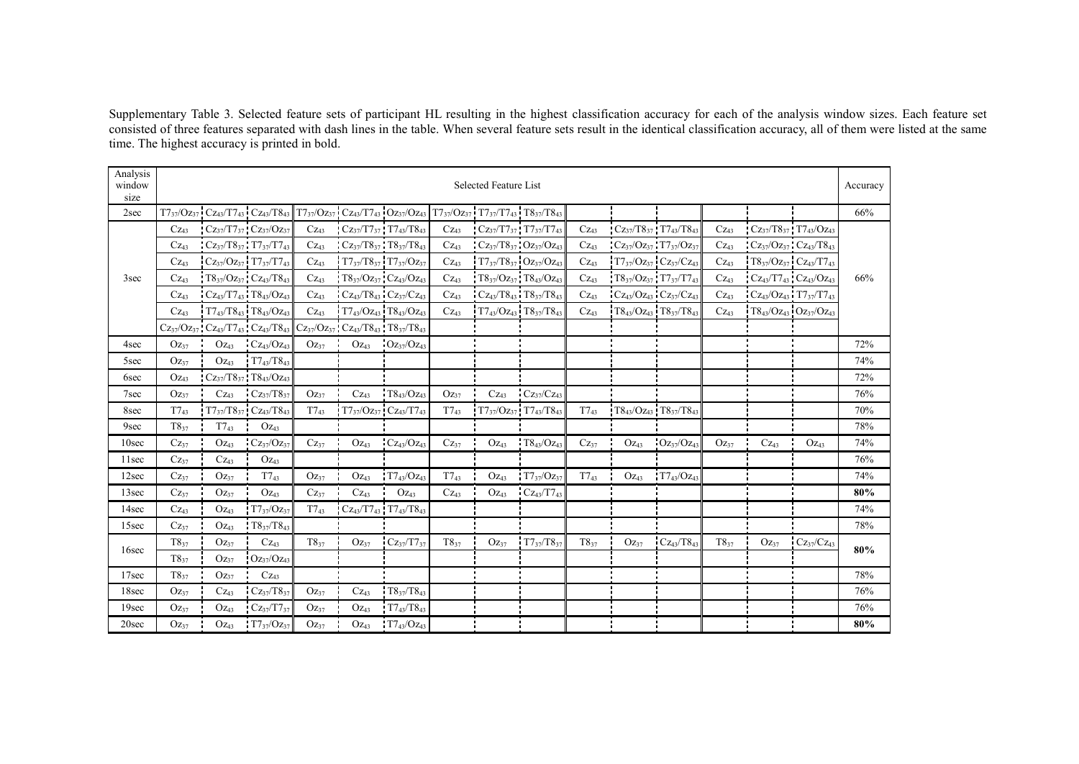Supplementary Table 3. Selected feature sets of participant HL resulting in the highest classification accuracy for each of the analysis window sizes. Each feature set consisted of three features separated with dash lines in the table. When several feature sets result in the identical classification accuracy, all of them were listed at the same time. The highest accuracy is printed in bold.

| Analysis<br>window<br>size |                  |                                                       |                    |                  |                                                       |                                                                       |                  | Selected Feature List                                 |                   |                  |                                       |                                     |           |           |                                              | Accuracy |
|----------------------------|------------------|-------------------------------------------------------|--------------------|------------------|-------------------------------------------------------|-----------------------------------------------------------------------|------------------|-------------------------------------------------------|-------------------|------------------|---------------------------------------|-------------------------------------|-----------|-----------|----------------------------------------------|----------|
| 2sec                       |                  | $T7_{37}/Oz_{37}$ $Cz_{43}/T7_{43}$ $Cz_{43}/T8_{43}$ |                    |                  | $T7_{37}/Oz_{37}$ $Cz_{43}/T7_{43}$ $Oz_{37}/Oz_{43}$ |                                                                       |                  | $T7_{37}/Oz_{37}$ $T7_{37}/T7_{43}$ $T8_{37}/T8_{43}$ |                   |                  |                                       |                                     |           |           |                                              | 66%      |
|                            | $Cz_{43}$        | $Cz_{37}/T7_{37}$ $Cz_{37}/Oz_{37}$                   |                    | $Cz_{43}$        | $C_{Z_37}/T7_{37}$ $T7_{43}/T8_{43}$                  |                                                                       | $Cz_{43}$        | $C_{Z_37}/T7_{37}$ $T7_{37}/T7_{43}$                  |                   | $Cz_{43}$        |                                       | $Cz_{37}/T8_{37}$ $T7_{43}/T8_{43}$ | $Cz_{43}$ |           | $C_{Z_37}/T8_{37}$ $T7_{43}/Oz_{43}$         |          |
|                            | $Cz_{43}$        | $Cz_{37}/T8_{37}$ $T7_{37}/T7_{43}$                   |                    | $Cz_{43}$        | $C_{Z_37}/T8_{37}$ $T8_{37}/T8_{43}$                  |                                                                       | $Cz_{43}$        | $Cz_{37}/T8_{37}$ $Oz_{37}/Oz_{43}$                   |                   | $Cz_{43}$        | $Cz_{37}/Oz_{37}$ $T7_{37}/Oz_{37}$   |                                     | $Cz_{43}$ |           | $Cz_{37}/Oz_{37}$ $Cz_{43}/T8_{43}$          |          |
|                            | $Cz_{43}$        | $C_{Z_37}/O_{Z_37}$ $T7_{37}/T7_{43}$                 |                    | Cz <sub>43</sub> | $T7_{37}/T8_{37}$ $T7_{37}/Oz_{37}$                   |                                                                       | $Cz_{43}$        | $T7_{37}/T8_{37}$ $Oz_{37}/Oz_{43}$                   |                   | $Cz_{43}$        | $T7_{37}/Oz_{37}$ $Cz_{37}/Cz_{43}$   |                                     | $Cz_{43}$ |           | $T8_{37}/Oz_{37}$ $Cz_{43}/T7_{43}$          |          |
| 3sec                       | $Cz_{43}$        | $T8_{37}/Oz_{37}$ $Cz_{43}/T8_{43}$                   |                    | Cz <sub>43</sub> | $T8_{37}/Oz_{37}$ $Cz_{43}/Oz_{43}$                   |                                                                       | Cz <sub>43</sub> | $T8_{37}/Oz_{37}$ $T8_{43}/Oz_{43}$                   |                   | $Cz_{43}$        |                                       | $T8_{37}/Oz_{37}$ $T7_{37}/T7_{43}$ | $Cz_{43}$ |           | $C_{Z_{43}}/T7_{43}$ $C_{Z_{43}}/O_{Z_{43}}$ | 66%      |
|                            | $Cz_{43}$        | $C_{Z_{43}}/T7_{43}$ $T8_{43}/Oz_{43}$                |                    | Cz <sub>43</sub> | $C_{Z_{43}}/T8_{43}$ $C_{Z_{37}}/C_{Z_{43}}$          |                                                                       | $Cz_{43}$        | $C_{Z_{43}}/T8_{43}$ $T8_{37}/T8_{43}$                |                   | Cz <sub>43</sub> |                                       | $Cz_{43}/Oz_{43}$ $Cz_{37}/Cz_{43}$ | $Cz_{43}$ |           | $Cz_{43}/Oz_{43}$ $T7_{37}/T7_{43}$          |          |
|                            | Cz <sub>43</sub> | $T7_{43}/T8_{43}$ $T8_{43}/Oz_{43}$                   |                    | $Cz_{43}$        | $T7_{43}/Oz_{43}$ $T8_{43}/Oz_{43}$                   |                                                                       | $Cz_{43}$        | $T7_{43}/Oz_{43}$ $T8_{37}/T8_{43}$                   |                   | $Cz_{43}$        | $T8_{43}/Oz_{43}$ , $T8_{37}/T8_{43}$ |                                     | $Cz_{43}$ |           | T843/Oz43 Oz37/Oz43                          |          |
|                            |                  | $Cz_{37}/Oz_{37}$ $Cz_{43}/T7_{43}$ $Cz_{43}/T8_{43}$ |                    |                  | $Cz_{37}/Oz_{37}$ $Cz_{43}/T8_{43}$ $T8_{37}/T8_{43}$ |                                                                       |                  |                                                       |                   |                  |                                       |                                     |           |           |                                              |          |
| 4sec                       | $Oz_{37}$        | $Oz_{43}$                                             | $Cz_{43}/Oz_{43}$  | $Oz_{37}$        | $Oz_{43}$                                             | $O_{Z_37}/O_{Z_{43}}$                                                 |                  |                                                       |                   |                  |                                       |                                     |           |           |                                              | 72%      |
| 5sec                       | $Oz_{37}$        | $Oz_{43}$                                             | $T7_{43}/T8_{43}$  |                  |                                                       |                                                                       |                  |                                                       |                   |                  |                                       |                                     |           |           |                                              | 74%      |
| 6sec                       | $Oz_{43}$        | $Cz_{37}/T8_{37}$ $T8_{43}/Oz_{43}$                   |                    |                  |                                                       |                                                                       |                  |                                                       |                   |                  |                                       |                                     |           |           |                                              | 72%      |
| 7sec                       | $Oz_{37}$        | $Cz_{43}$                                             | $C_{Z_37}/T8_{37}$ | $Oz_{37}$        | $Cz_{43}$                                             | $T8_{43}/Oz_{43}$                                                     | $Oz_{37}$        | $Cz_{43}$                                             | $Cz_{37}/Cz_{43}$ |                  |                                       |                                     |           |           |                                              | 76%      |
| 8sec                       | $T7_{43}$        | $-T7_{37}/T8_{37}$ $Cz_{43}/T8_{43}$                  |                    | $T7_{43}$        | T737/Oz37 Cz43/T743                                   |                                                                       | $T7_{43}$        | $T7_{37}/Oz_{37}$ $T7_{43}/T8_{43}$                   |                   | $T7_{43}$        | $T8_{43}/Oz_{43}$ $T8_{37}/T8_{43}$   |                                     |           |           |                                              | 70%      |
| 9sec                       | $T8_{37}$        | $T7_{43}$                                             | $Oz_{43}$          |                  |                                                       |                                                                       |                  |                                                       |                   |                  |                                       |                                     |           |           |                                              | 78%      |
| 10sec                      | $Cz_{37}$        | $Oz_{43}$                                             | $Cz_{37}/Oz_{37}$  | $Cz_{37}$        | $Oz_{43}$                                             | $C_{Z_{43}}/O_{Z_{43}}$                                               | $Cz_{37}$        | $Oz_{43}$                                             | $T8_{43}/Oz_{43}$ | $Cz_{37}$        | $Oz_{43}$                             | $Oz_{37}/Oz_{43}$                   | $Oz_{37}$ | $Cz_{43}$ | $Oz_{43}$                                    | 74%      |
| 11sec                      | $Cz_{37}$        | $Cz_{43}$                                             | $Oz_{43}$          |                  |                                                       |                                                                       |                  |                                                       |                   |                  |                                       |                                     |           |           |                                              | 76%      |
| 12sec                      | $Cz_{37}$        | $Oz_{37}$                                             | $T7_{43}$          | Oz <sub>37</sub> | $Oz_{43}$                                             | $T7_{43}/Oz_{43}$                                                     | $T7_{43}$        | Oz <sub>43</sub>                                      | $T7_{37}/Oz_{37}$ | $T7_{43}$        | $Oz_{43}$                             | $T7_{43}/Oz_4$                      |           |           |                                              | 74%      |
| 13sec                      | $Cz_{37}$        | $Oz_{37}$                                             | $Oz_{43}$          | $Cz_{37}$        | $Cz_{43}$                                             | $Oz_{43}$                                                             | $Cz_{43}$        | $Oz_{43}$                                             | $Cz_{43}/T7_{43}$ |                  |                                       |                                     |           |           |                                              | 80%      |
| 14sec                      | $Cz_{43}$        | $Oz_{43}$                                             | $T7_{37}/Oz_{37}$  | $T7_{43}$        |                                                       | Cz <sub>43</sub> /T7 <sub>43</sub> T7 <sub>43</sub> /T8 <sub>43</sub> |                  |                                                       |                   |                  |                                       |                                     |           |           |                                              | 74%      |
| 15sec                      | $Cz_{37}$        | Oz <sub>43</sub>                                      | $T8_{37}/T8_{45}$  |                  |                                                       |                                                                       |                  |                                                       |                   |                  |                                       |                                     |           |           |                                              | 78%      |
| 16sec                      | $T8_{37}$        | $Oz_{37}$                                             | $Cz_{43}$          | $T8_{37}$        | $Oz_{37}$                                             | $Cz_{37}/T7_{37}$                                                     | $T8_{37}$        | $Oz_{37}$                                             | $T7_{37}/T8_{37}$ | $T8_{37}$        | $Oz_{37}$                             | $C_{Z_{43}}/T8_{43}$                | $T8_{37}$ | $Oz_{37}$ | $Cz_{37}/Cz_{43}$                            | 80%      |
|                            | $T8_{37}$        | $Oz_{37}$                                             | $Oz_{37}/Oz_{43}$  |                  |                                                       |                                                                       |                  |                                                       |                   |                  |                                       |                                     |           |           |                                              |          |
| 17sec                      | $T8_{37}$        | $Oz_{37}$                                             | $Cz_{43}$          |                  |                                                       |                                                                       |                  |                                                       |                   |                  |                                       |                                     |           |           |                                              | 78%      |
| 18sec                      | $Oz_{37}$        | $Cz_{43}$                                             | $Cz_{37}/T8_{37}$  | $Oz_{37}$        | $Cz_{43}$                                             | $T8_{37}/T8_{43}$                                                     |                  |                                                       |                   |                  |                                       |                                     |           |           |                                              | 76%      |
| 19sec                      | $Oz_{37}$        | Oz <sub>43</sub>                                      | $Cz_{37}/T7_{37}$  | Oz <sub>37</sub> | $Oz_{43}$                                             | $T7_{43}/T8_{43}$                                                     |                  |                                                       |                   |                  |                                       |                                     |           |           |                                              | 76%      |
| 20sec                      | $Oz_{37}$        | $Oz_{43}$                                             | $T7_{37}/Oz_3$     | $Oz_{37}$        | $Oz_{43}$                                             | $T7_{43}/Oz_{43}$                                                     |                  |                                                       |                   |                  |                                       |                                     |           |           |                                              | 80%      |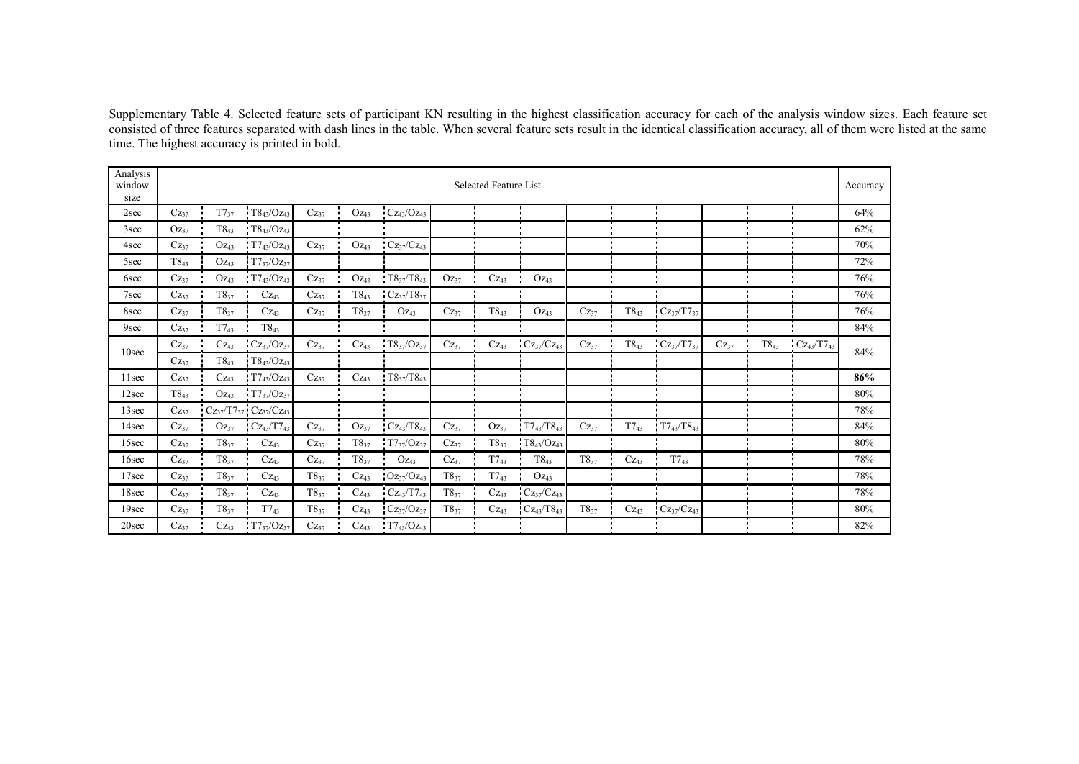Supplementary Table 4. Selected feature sets of participant KN resulting in the highest classification accuracy for each of the analysis window sizes. Each feature set consisted of three features separated with dash lines in the table. When several feature sets result in the identical classification accuracy, all of them were listed at the same time. The highest accuracy is printed in bold.

| Analysis<br>window<br>size |                  |           |                                     |           |           |                       |           | Selected Feature List |                      |           |           |                       |           |           |                   | Accuracy |
|----------------------------|------------------|-----------|-------------------------------------|-----------|-----------|-----------------------|-----------|-----------------------|----------------------|-----------|-----------|-----------------------|-----------|-----------|-------------------|----------|
| 2sec                       | $Cz_{37}$        | $T7_{37}$ | $T8_{43}/Oz_{43}$                   | $Cz_{37}$ | $Oz_{43}$ | $Cz_{43}/Oz_{43}$     |           |                       |                      |           |           |                       |           |           |                   | 64%      |
| 3sec                       | $Oz_{37}$        | $T8_{43}$ | $\mathrm{T8}_{43}/\mathrm{Oz}_{43}$ |           |           |                       |           |                       |                      |           |           |                       |           |           |                   | 62%      |
| 4sec                       | $Cz_{37}$        | $Oz_{43}$ | $T7_{43}/Oz_{43}$                   | $Cz_{37}$ | $Oz_{43}$ | $C_{Z_37}/C_{Z_{43}}$ |           |                       |                      |           |           |                       |           |           |                   | 70%      |
| 5sec                       | $T8_{43}$        | $Oz_{43}$ | $T7_{37}/Oz_{37}$                   |           |           |                       |           |                       |                      |           |           |                       |           |           |                   | 72%      |
| 6sec                       | $Cz_{37}$        | $Oz_{43}$ | $T7_{43}/Oz_{43}$                   | $Cz_{37}$ | $Oz_{43}$ | $T8_{37}/T8_{43}$     | $Oz_{37}$ | $Cz_{43}$             | $Oz_{43}$            |           |           |                       |           |           |                   | 76%      |
| 7sec                       | $Cz_{37}$        | $T8_{37}$ | $Cz_{43}$                           | $Cz_{37}$ | $T8_{43}$ | $Cz_{37}/T8_{37}$     |           |                       |                      |           |           |                       |           |           |                   | 76%      |
| 8sec                       | $Cz_{37}$        | $T8_{37}$ | $Cz_{43}$                           | $Cz_{37}$ | $T8_{37}$ | $Oz_{43}$             | $Cz_{37}$ | $T8_{43}$             | $Oz_{43}$            | $Cz_{37}$ | $T8_{43}$ | $Cz_{37}/T7_{37}$     |           |           |                   | 76%      |
| 9sec                       | $Cz_{37}$        | $T7_{43}$ | $T8_{43}$                           |           |           |                       |           |                       |                      |           |           |                       |           |           |                   | 84%      |
| 10sec                      | $Cz_{37}$        | $Cz_{43}$ | $Cz_{37}/Oz_{37}$                   | $Cz_{37}$ | $Cz_{43}$ | $T8_{37}/Oz_{37}$     | $Cz_{37}$ | $Cz_{43}$             | $C_{Z_3}/C_{Z_{43}}$ | $Cz_{37}$ | $T8_{43}$ | $Cz_{37}/T7_{37}$     | $Cz_{37}$ | $T8_{43}$ | $Cz_{43}/T7_{43}$ | 84%      |
|                            | $Cz_{37}$        | $T8_{43}$ | $\rm T8_{43}/Oz_{43}$               |           |           |                       |           |                       |                      |           |           |                       |           |           |                   |          |
| 11sec                      | $Cz_{37}$        | $Cz_{43}$ | $T7_{43}/Oz_{43}$                   | $Cz_{37}$ | $Cz_{43}$ | $T8_{37}/T8_{43}$     |           |                       |                      |           |           |                       |           |           |                   | 86%      |
| 12sec                      | T8 <sub>43</sub> | $Oz_{43}$ | $T7_{37}/Oz_{37}$                   |           |           |                       |           |                       |                      |           |           |                       |           |           |                   | 80%      |
| 13sec                      | $Cz_{37}$        |           | $Cz_{37}/T7_{37}$ $Cz_{37}/Cz_{43}$ |           |           |                       |           |                       |                      |           |           |                       |           |           |                   | 78%      |
| 14sec                      | $Cz_{37}$        | $Oz_{37}$ | $C_{Z_{43}}/T7_{43}$                | $Cz_{37}$ | $Oz_{37}$ | $Cz_{43}/T8_{43}$     | $Cz_{37}$ | $Oz_{37}$             | $T7_{43}/T8_{43}$    | $Cz_{37}$ | $T7_{43}$ | $T7_{43}/T8_{43}$     |           |           |                   | 84%      |
| 15sec                      | $Cz_{37}$        | $T8_{37}$ | $Cz_{43}$                           | $Cz_{37}$ | $T8_{37}$ | $T7_{37}/Oz_{37}$     | $Cz_{37}$ | $T8_{37}$             | $T8_{43}/Oz_{43}$    |           |           |                       |           |           |                   | 80%      |
| 16sec                      | $Cz_{37}$        | $T8_{37}$ | $Cz_{43}$                           | $Cz_{37}$ | $T8_{37}$ | Oz <sub>43</sub>      | $Cz_{37}$ | $T7_{43}$             | $T8_{43}$            | $T8_{37}$ | $Cz_{43}$ | $T7_{43}$             |           |           |                   | 78%      |
| 17sec                      | $Cz_{37}$        | $T8_{37}$ | $Cz_{43}$                           | $T8_{37}$ | $Cz_{43}$ | $O_{Z_37}/O_{Z_{43}}$ | $T8_{37}$ | $T7_{43}$             | Oz <sub>43</sub>     |           |           |                       |           |           |                   | 78%      |
| 18sec                      | $Cz_{37}$        | $T8_{37}$ | $Cz_{43}$                           | $T8_{37}$ | $Cz_{43}$ | $C_{Z_{43}}/T7_{43}$  | $T8_{37}$ | $Cz_{43}$             | $Cz_{37}/Cz_{43}$    |           |           |                       |           |           |                   | 78%      |
| 19sec                      | $Cz_{37}$        | $T8_{37}$ | $T7_{43}$                           | $T8_{37}$ | $Cz_{43}$ | $Cz_{37}/Oz_{37}$     | $T8_{37}$ | $Cz_{43}$             | $C_{Z_{43}}/T8_{43}$ | $T8_{37}$ | $Cz_{43}$ | $C_{Z_37}/C_{Z_{43}}$ |           |           |                   | 80%      |
| 20sec                      | $Cz_{37}$        | $Cz_{43}$ | $T7_{37}/Oz_{37}$                   | $Cz_{37}$ | $Cz_{43}$ | $T7_{43}/Oz_{43}$     |           |                       |                      |           |           |                       |           |           |                   | 82%      |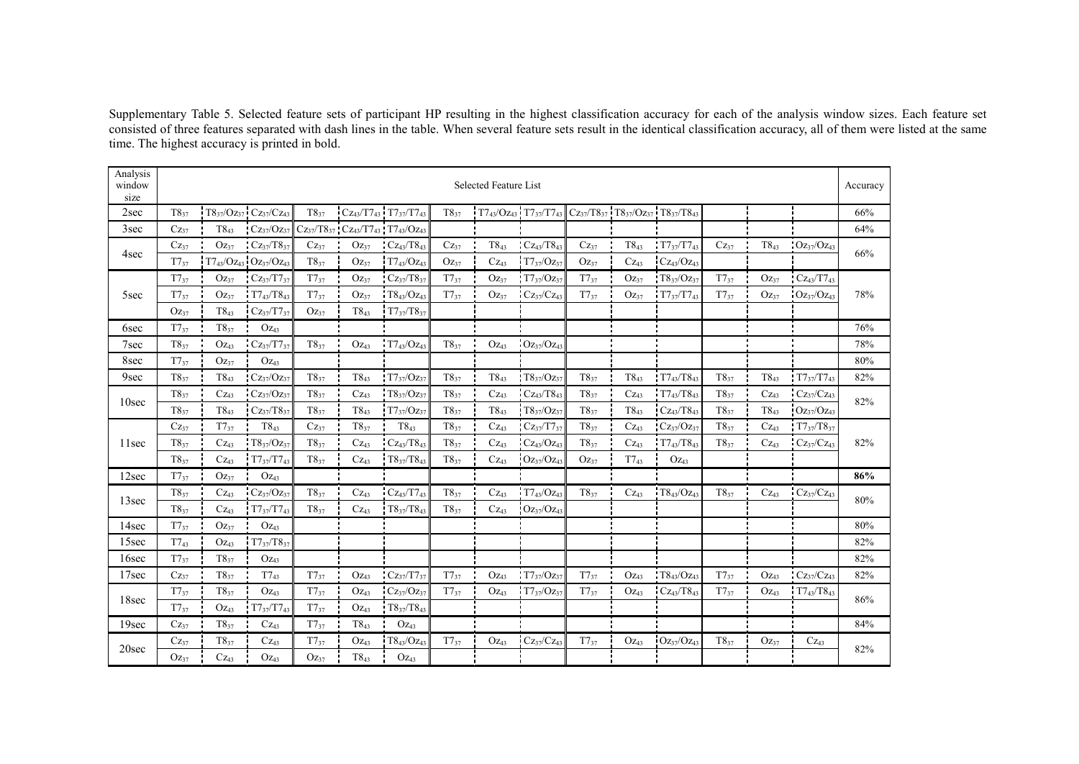Supplementary Table 5. Selected feature sets of participant HP resulting in the highest classification accuracy for each of the analysis window sizes. Each feature set consisted of three features separated with dash lines in the table. When several feature sets result in the identical classification accuracy, all of them were listed at the same time. The highest accuracy is printed in bold.

| Analysis<br>window<br>size |           |                     |                                     |           |                  |                                                       |           | Selected Feature List |                                                                       |                                                       |                  |                                     |           |           |                       | Accuracy |
|----------------------------|-----------|---------------------|-------------------------------------|-----------|------------------|-------------------------------------------------------|-----------|-----------------------|-----------------------------------------------------------------------|-------------------------------------------------------|------------------|-------------------------------------|-----------|-----------|-----------------------|----------|
| 2sec                       | $T8_{37}$ | T837/Oz37 Cz37/Cz43 |                                     | $T8_{37}$ |                  | $Cz_{43}/T7_{43} \cdot T7_{37}/T7_{43}$               | $T8_{37}$ |                       | T7 <sub>43</sub> /Oz <sub>43</sub> T7 <sub>37</sub> /T7 <sub>43</sub> | $Cz_{37}/T8_{37}$ $T8_{37}/Oz_{37}$ $T8_{37}/T8_{43}$ |                  |                                     |           |           |                       | 66%      |
| 3sec                       | $Cz_{37}$ | $T8_{43}$           | $Cz_{37}/Oz_3$                      |           |                  | $Cz_{37}/T8_{37}$ $Cz_{43}/T7_{43}$ $T7_{43}/Oz_{43}$ |           |                       |                                                                       |                                                       |                  |                                     |           |           |                       | 64%      |
| 4sec                       | $Cz_{37}$ | $Oz_{37}$           | $Cz_{37}/T8_{37}$                   | $Cz_{37}$ | $Oz_{37}$        | $C_{Z_{43}}/T8_{43}$                                  | $Cz_{37}$ | $T8_{43}$             | $Cz_{43}/T8_{43}$                                                     | $Cz_{37}$                                             | $T8_{43}$        | $T_{37}/T_{43}$                     | $C_{Z37}$ | $T8_{43}$ | $Oz_{37}/Oz_{43}$     | 66%      |
|                            | $T7_{37}$ |                     | $T7_{43}/Oz_{43}$ $Oz_{37}/Oz_{43}$ | $T8_{37}$ | $Oz_{37}$        | $T7_{43}/Oz_{43}$                                     | $Oz_{37}$ | $Cz_{43}$             | $T7_{37}/Oz_{37}$                                                     | $Oz_{37}$                                             | $Cz_{43}$        | $\mathrm{Cz}_{43}\mathrm{/Oz}_{43}$ |           |           |                       |          |
|                            | $T7_{37}$ | $Oz_{37}$           | $C_{Z_37}/T7_{37}$                  | $T7_{37}$ | $Oz_{37}$        | $Cz_{37}/T8_{37}$                                     | $T7_{37}$ | $Oz_{37}$             | $T_{37}/Oz_{37}$                                                      | $T7_{37}$                                             | $Oz_{37}$        | $T8_{37}/Oz_{37}$                   | $T7_{37}$ | $Oz_{37}$ | $Cz_{43}/T7_{43}$     |          |
| 5sec                       | $T7_{37}$ | $Oz_{37}$           | $T7_{43}/T8_{43}$                   | $T7_{37}$ | $Oz_{37}$        | $T8_{43}/Oz_{43}$                                     | $T7_{37}$ | $Oz_{37}$             | $C_{Z_37}/C_{Z_{43}}$                                                 | $T7_{37}$                                             | $Oz_{37}$        | $T_{37}/T_{43}$                     | $T7_{37}$ | $Oz_{37}$ | $Oz_{37}/Oz_{43}$     | 78%      |
|                            | $Oz_{37}$ | $T8_{43}$           | $Cz_{37}/T7_{37}$                   | $Oz_{37}$ | $T8_{43}$        | $T7_{37}/T8_{37}$                                     |           |                       |                                                                       |                                                       |                  |                                     |           |           |                       |          |
| 6sec                       | $T7_{37}$ | $T8_{37}$           | $Oz_{43}$                           |           |                  |                                                       |           |                       |                                                                       |                                                       |                  |                                     |           |           |                       | 76%      |
| 7sec                       | $T8_{37}$ | $Oz_{43}$           | $Cz_{37}/T7_3$                      | $T8_{37}$ | $Oz_{43}$        | $T7_{43}/Oz_{43}$                                     | $T8_{37}$ | $Oz_{43}$             | $Oz_{37}/Oz_{43}$                                                     |                                                       |                  |                                     |           |           |                       | 78%      |
| 8sec                       | $T7_{37}$ | $Oz_{37}$           | $Oz_{43}$                           |           |                  |                                                       |           |                       |                                                                       |                                                       |                  |                                     |           |           |                       | 80%      |
| 9sec                       | $T8_{37}$ | $T8_{43}$           | Cz <sub>37</sub> /Oz <sub>3</sub>   | $T8_{37}$ | $T8_{43}$        | $T7_{37}/Oz_3$                                        | $T8_{37}$ | $T8_{43}$             | $T8_{37}/Oz_3$                                                        | $T8_{37}$                                             | $T8_{43}$        | $T7_{43}/T8_{43}$                   | $T8_{37}$ | $T8_{43}$ | $T7_{37}/T7_{43}$     | 82%      |
| 10sec                      | $T8_{37}$ | $Cz_{43}$           | $Cz_{37}/Oz_{37}$                   | $T8_{37}$ | $Cz_{43}$        | $T8_{37}/Oz_{37}$                                     | $T8_{37}$ | $Cz_{43}$             | $Cz_{43}/T8_{43}$                                                     | $T8_{37}$                                             | $Cz_{43}$        | $T7_{43}/T8_{43}$                   | $T8_{37}$ | $Cz_{43}$ | $Cz_{37}/Cz_{43}$     | 82%      |
|                            | $T8_{37}$ | $T8_{43}$           | $Cz_{37}/T8_3$                      | $T8_{37}$ | $T8_{43}$        | $T7_{37}/Oz_{37}$                                     | $T8_{37}$ | $T8_{43}$             | $T8_{37}/Oz_{37}$                                                     | $T8_{37}$                                             | T8 <sub>43</sub> | $C_{Z_{43}}/T8_{43}$                | $T8_{37}$ | $T8_{43}$ | $Oz_{37}/Oz_{43}$     |          |
|                            | $Cz_{37}$ | $T7_{37}$           | $T8_{43}$                           | $Cz_{37}$ | $T8_{37}$        | $T8_{43}$                                             | $T8_{37}$ | Cz <sub>43</sub>      | $C_{Z_37}/T7_{37}$                                                    | $T8_{37}$                                             | $Cz_{43}$        | $C_{Z_37}/O_{Z_37}$                 | $T8_{37}$ | $Cz_{43}$ | $T7_{37}/T8_{37}$     |          |
| 11sec                      | $T8_{37}$ | $Cz_{43}$           | $T8_{37}/Oz_{37}$                   | $T8_{37}$ | $Cz_{43}$        | $Cz_{43}/T8_{43}$                                     | $T8_{37}$ | Cz <sub>43</sub>      | $Cz_{43}/Oz_{43}$                                                     | $T8_{37}$                                             | $Cz_{43}$        | $T7_{43}/T8_{43}$                   | $T8_{37}$ | $Cz_{43}$ | $Cz_{37}/Cz_{43}$     | 82%      |
|                            | $T8_{37}$ | $Cz_{43}$           | $T7_{37}/T7_{43}$                   | $T8_{37}$ | $Cz_{43}$        | $T8_{37}/T8_{43}$                                     | $T8_{37}$ | $Cz_{43}$             | $Oz_{37}/Oz_{43}$                                                     | $Oz_{37}$                                             | $T7_{43}$        | $Oz_{43}$                           |           |           |                       |          |
| 12sec                      | $T7_{37}$ | $Oz_{37}$           | Oz <sub>43</sub>                    |           |                  |                                                       |           |                       |                                                                       |                                                       |                  |                                     |           |           |                       | 86%      |
| 13sec                      | $T8_{37}$ | Cz <sub>43</sub>    | $Cz_{37}/Oz_{37}$                   | $T8_{37}$ | $Cz_{43}$        | $Cz_{43}/T7_{43}$                                     | $T8_{37}$ | Cz <sub>43</sub>      | $T7_{43}/Oz_{43}$                                                     | $T8_{37}$                                             | $Cz_{43}$        | $T8_{43}/Oz_{43}$                   | $T8_{37}$ | $Cz_{43}$ | $Cz_{37}/Cz_{43}$     | 80%      |
|                            | $T8_{37}$ | Cz <sub>43</sub>    | $T7_{37}/T7_{43}$                   | $T8_{37}$ | $Cz_{43}$        | $T8_{37}/T8_{43}$                                     | $T8_{37}$ | Cz <sub>43</sub>      | $Oz_3$ / $Oz_4$                                                       |                                                       |                  |                                     |           |           |                       |          |
| 14sec                      | $T7_{37}$ | $Oz_{37}$           | Oz <sub>43</sub>                    |           |                  |                                                       |           |                       |                                                                       |                                                       |                  |                                     |           |           |                       | 80%      |
| 15sec                      | $T7_{43}$ | $Oz_{43}$           | $T7_{37}/T8_3$                      |           |                  |                                                       |           |                       |                                                                       |                                                       |                  |                                     |           |           |                       | 82%      |
| 16sec                      | $T7_{37}$ | $T8_{37}$           | $Oz_{43}$                           |           |                  |                                                       |           |                       |                                                                       |                                                       |                  |                                     |           |           |                       | 82%      |
| 17sec                      | $Cz_{37}$ | $T8_{37}$           | $T7_{43}$                           | $T7_{37}$ | $Oz_{43}$        | $C_{Z_37}/T7_{37}$                                    | $T7_{37}$ | $Oz_{43}$             | $T7_{37}/Oz_{37}$                                                     | $T7_{37}$                                             | $Oz_{43}$        | $T8_{43}/Oz_{43}$                   | $T7_{37}$ | $Oz_{43}$ | $C_{Z_37}/C_{Z_{43}}$ | 82%      |
| 18sec                      | $T7_{37}$ | $T8_{37}$           | Oz <sub>43</sub>                    | $T7_{37}$ | Oz <sub>43</sub> | $Cz_{37}/Oz_{37}$                                     | $T7_{37}$ | Oz <sub>43</sub>      | $T7_{37}/Oz_3$                                                        | $T7_{37}$                                             | Oz <sub>43</sub> | $Cz_{43}/T8_{43}$                   | $T7_{37}$ | $Oz_{43}$ | $T7_{43}/T8_{43}$     | 86%      |
|                            | $T7_{37}$ | $Oz_{43}$           | $T7_{37}/T7_{43}$                   | $T7_{37}$ | Oz <sub>43</sub> | $T8_{37}/T8_{43}$                                     |           |                       |                                                                       |                                                       |                  |                                     |           |           |                       |          |
| 19sec                      | $Cz_{37}$ | $T8_{37}$           | $Cz_{43}$                           | $T7_{37}$ | $T8_{43}$        | $Oz_{43}$                                             |           |                       |                                                                       |                                                       |                  |                                     |           |           |                       | 84%      |
| 20sec                      | $Cz_{37}$ | $T8_{37}$           | $Cz_{43}$                           | $T7_{37}$ | $Oz_{43}$        | $T8_{43}/Oz_{43}$                                     | $T7_{37}$ | $Oz_{43}$             | $Cz_{37}/Cz_{43}$                                                     | $T7_{37}$                                             | $Oz_{43}$        | $O_{Z_37}/O_{Z_{43}}$               | $T8_{37}$ | $Oz_{37}$ | $Cz_{43}$             | 82%      |
|                            | $Oz_{37}$ | $Cz_{43}$           | Oz <sub>43</sub>                    | $Oz_{37}$ | $T8_{43}$        | $Oz_{43}$                                             |           |                       |                                                                       |                                                       |                  |                                     |           |           |                       |          |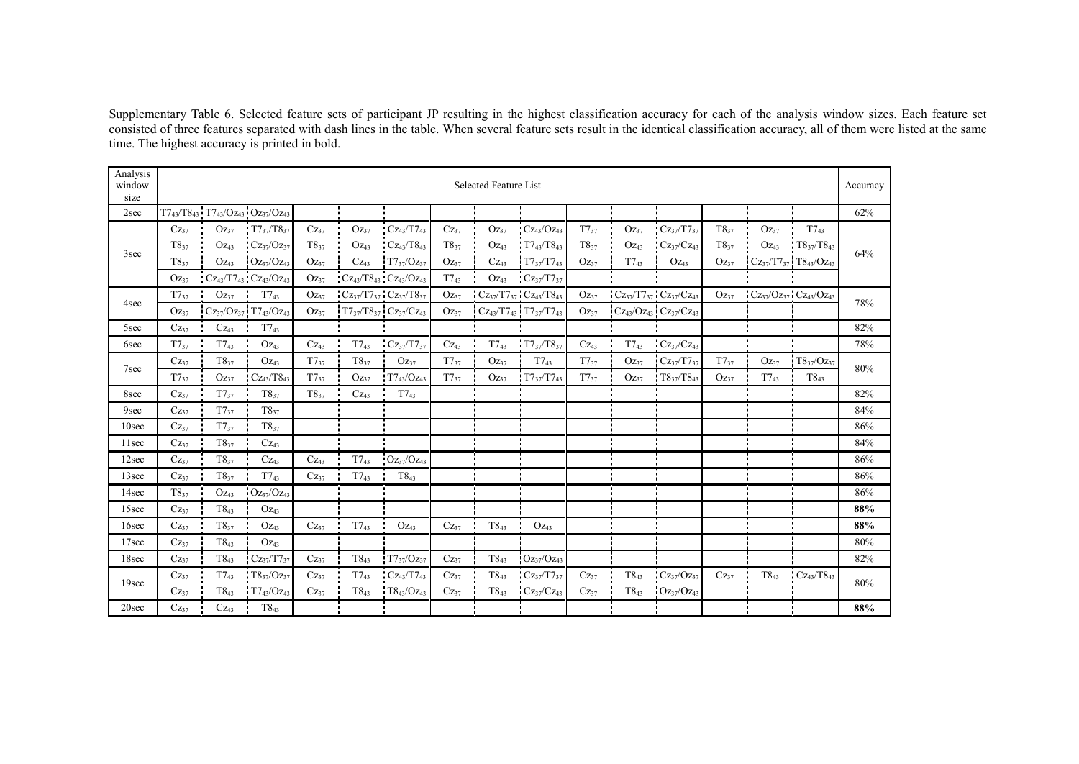Supplementary Table 6. Selected feature sets of participant JP resulting in the highest classification accuracy for each of the analysis window sizes. Each feature set consisted of three features separated with dash lines in the table. When several feature sets result in the identical classification accuracy, all of them were listed at the same time. The highest accuracy is printed in bold.

| Analysis<br>window<br>size |                  |                                                       |                                       |                  |           |                                       |           | <b>Selected Feature List</b> |                                     |           |                  |                                          |           |                                             |                                     | Accuracy |
|----------------------------|------------------|-------------------------------------------------------|---------------------------------------|------------------|-----------|---------------------------------------|-----------|------------------------------|-------------------------------------|-----------|------------------|------------------------------------------|-----------|---------------------------------------------|-------------------------------------|----------|
| 2sec                       |                  | $T7_{43}/T8_{43}$ $T7_{43}/Oz_{43}$ $Oz_{37}/Oz_{43}$ |                                       |                  |           |                                       |           |                              |                                     |           |                  |                                          |           |                                             |                                     | 62%      |
|                            | $Cz_{37}$        | $Oz_{37}$                                             | $T7_{37}/T8_{37}$                     | $Cz_{37}$        | $Oz_{37}$ | $C_{Z_{43}}/T7_{43}$                  | $Cz_{37}$ | $Oz_{37}$                    | $C_{Z_{43}}/O_{Z_{43}}$             | $T7_{37}$ | $Oz_{37}$        | $C_{Z_37}/T7_{37}$                       | $T8_{37}$ | $Oz_{37}$                                   | $T7_{43}$                           |          |
|                            | $T8_{37}$        | Oz <sub>43</sub>                                      | $Cz_{37}/Oz_{37}$                     | $T8_{37}$        | $Oz_{43}$ | $C_{Z_{43}}/T8_{43}$                  | $T8_{37}$ | $Oz_{43}$                    | $T7_{43}/T8_{43}$                   | $T8_{37}$ | Oz <sub>43</sub> | $Cz_{37}/Cz_{43}$                        | $T8_{37}$ | $Oz_{43}$                                   | $T8_{37}/T8_{43}$                   | 64%      |
| 3sec                       | $T8_{37}$        | $Oz_{43}$                                             | $Oz_{37}/Oz_{43}$                     | $Oz_{37}$        | $Cz_{43}$ | $T7_{37}/Oz_{37}$                     | $Oz_{37}$ | $Cz_{43}$                    | $T7_{37}/T7_{43}$                   | $Oz_{37}$ | $T7_{43}$        | $Oz_{43}$                                | $Oz_{37}$ |                                             | $Cz_{37}/T7_{37}$ $T8_{43}/Oz_{43}$ |          |
|                            | Oz <sub>37</sub> | $Cz_{43}/T7_{43}$ $Cz_{43}/Oz_{43}$                   |                                       | $Oz_{37}$        |           | $Cz_{43}/T8_{43}$ $Cz_{43}/Oz_{43}$   | $T7_{43}$ | $Oz_{43}$                    | $C_{Z_37}/T7_{37}$                  |           |                  |                                          |           |                                             |                                     |          |
| 4sec                       | $T7_{37}$        | $Oz_{37}$                                             | $T7_{43}$                             | $Oz_{37}$        |           | $C_{Z_37}/T7_{37}$ $C_{Z_37}/T8_{37}$ | $Oz_{37}$ |                              | $Cz_{37}/T7_{37}$ $Cz_{43}/T8_{43}$ | $Oz_{37}$ |                  | $C_{Z_37}/T7_{37}$ $C_{Z_37}/C_{Z_{43}}$ | $Oz_{37}$ | $C_{Z_37}/O_{Z_37}$ $C_{Z_{43}}/O_{Z_{43}}$ |                                     | 78%      |
|                            | $Oz_{37}$        |                                                       | $Cz_{37}/Oz_{37}$ , $T7_{43}/Oz_{43}$ | $Oz_{37}$        |           | $T7_{37}/T8_{37}$ $Cz_{37}/Cz_{43}$   | $Oz_{37}$ |                              | $Cz_{43}/T7_{43}$ $T7_{37}/T7_{43}$ | $Oz_{37}$ |                  | $Cz_{43}/Oz_{43}$ $Cz_{37}/Cz_{43}$      |           |                                             |                                     |          |
| 5sec                       | $Cz_{37}$        | $Cz_{43}$                                             | $T7_{43}$                             |                  |           |                                       |           |                              |                                     |           |                  |                                          |           |                                             |                                     | 82%      |
| 6sec                       | $T7_{37}$        | $T7_{43}$                                             | $Oz_{43}$                             | $Cz_{43}$        | $T7_{43}$ | $C_{Z_37}/T7_3$                       | $Cz_{43}$ | $T7_{43}$                    | $T7_{37}/T8_{37}$                   | $Cz_{43}$ | $T7_{43}$        | $C_{Z_{37}}/C_{Z_{43}}$                  |           |                                             |                                     | 78%      |
| 7sec                       | $Cz_{37}$        | $T8_{37}$                                             | $Oz_{43}$                             | $T7_{37}$        | $T8_{37}$ | $Oz_{37}$                             | $T7_{37}$ | $Oz_{37}$                    | $T7_{43}$                           | $T7_{37}$ | $Oz_{37}$        | $Cz_{37}/T7_{37}$                        | $T7_{37}$ | $Oz_{37}$                                   | $T8_{37}/Oz_{37}$                   | 80%      |
|                            | $T7_{37}$        | $Oz_{37}$                                             | $C_{Z_{43}}/T8_{43}$                  | $T7_{37}$        | $Oz_{37}$ | $T7_{43}/Oz_{43}$                     | $T7_{37}$ | $Oz_{37}$                    | $T7_{37}/T7_{43}$                   | $T7_{37}$ | $Oz_{37}$        | $T8_{37}/T8_{43}$                        | $Oz_{37}$ | $T7_{43}$                                   | $T8_{43}$                           |          |
| 8sec                       | $Cz_{37}$        | $T7_{37}$                                             | $T8_{37}$                             | $T8_{37}$        | $Cz_{43}$ | $T7_{43}$                             |           |                              |                                     |           |                  |                                          |           |                                             |                                     | 82%      |
| 9sec                       | $Cz_{37}$        | $T7_{37}$                                             | $T8_{37}$                             |                  |           |                                       |           |                              |                                     |           |                  |                                          |           |                                             |                                     | 84%      |
| 10sec                      | $Cz_{37}$        | $T7_{37}$                                             | $T8_{37}$                             |                  |           |                                       |           |                              |                                     |           |                  |                                          |           |                                             |                                     | 86%      |
| 11sec                      | $Cz_{37}$        | $T8_{37}$                                             | $Cz_{43}$                             |                  |           |                                       |           |                              |                                     |           |                  |                                          |           |                                             |                                     | 84%      |
| 12sec                      | $Cz_{37}$        | $T8_{37}$                                             | $Cz_{43}$                             | Cz <sub>43</sub> | $T7_{43}$ | $Oz_{37}/Oz_{43}$                     |           |                              |                                     |           |                  |                                          |           |                                             |                                     | 86%      |
| 13sec                      | $Cz_{37}$        | $T8_{37}$                                             | $T7_{43}$                             | $Cz_{37}$        | $T7_{43}$ | $T8_{43}$                             |           |                              |                                     |           |                  |                                          |           |                                             |                                     | 86%      |
| 14sec                      | $T8_{37}$        | $Oz_{43}$                                             | $Oz_{37}/Oz_{43}$                     |                  |           |                                       |           |                              |                                     |           |                  |                                          |           |                                             |                                     | 86%      |
| 15sec                      | $Cz_{37}$        | $T8_{43}$                                             | Oz <sub>43</sub>                      |                  |           |                                       |           |                              |                                     |           |                  |                                          |           |                                             |                                     | 88%      |
| 16sec                      | $Cz_{37}$        | $T8_{37}$                                             | Oz <sub>43</sub>                      | $Cz_{37}$        | $T7_{43}$ | Oz <sub>43</sub>                      | $Cz_{37}$ | T8 <sub>43</sub>             | $Oz_{43}$                           |           |                  |                                          |           |                                             |                                     | 88%      |
| 17sec                      | $Cz_{37}$        | $T8_{43}$                                             | $Oz_{43}$                             |                  |           |                                       |           |                              |                                     |           |                  |                                          |           |                                             |                                     | 80%      |
| 18sec                      | $Cz_{37}$        | T8 <sub>43</sub>                                      | $Cz_{37}/T7_{37}$                     | $Cz_{37}$        | $T8_{43}$ | $T7_{37}/Oz_{37}$                     | $Cz_{37}$ | T8 <sub>43</sub>             | $Oz_{37}/Oz_{43}$                   |           |                  |                                          |           |                                             |                                     | 82%      |
| 19sec                      | $Cz_{37}$        | $T7_{43}$                                             | $T8_{37}/Oz_{37}$                     | $Cz_{37}$        | $T7_{43}$ | $C_{Z_{43}}/T7_{43}$                  | $Cz_{37}$ | $T8_{43}$                    | $Cz_{37}/T7_{37}$                   | $Cz_{37}$ | $T8_{43}$        | $Cz_{37}/Oz_{37}$                        | $Cz_{37}$ | $T8_{43}$                                   | $Cz_{43}/T8_{43}$                   | 80%      |
|                            | $Cz_{37}$        | T8 <sub>43</sub>                                      | $T7_{43}/Oz_{43}$                     | $Cz_{37}$        | $T8_{43}$ | $T8_{43}/Oz_{43}$                     | $Cz_{37}$ | T8 <sub>43</sub>             | $Cz_{37}/Cz_{43}$                   | $Cz_{37}$ | T8 <sub>43</sub> | $Oz_{37}/Oz_{43}$                        |           |                                             |                                     |          |
| 20sec                      | $Cz_{37}$        | $Cz_{43}$                                             | $T8_{43}$                             |                  |           |                                       |           |                              |                                     |           |                  |                                          |           |                                             |                                     | 88%      |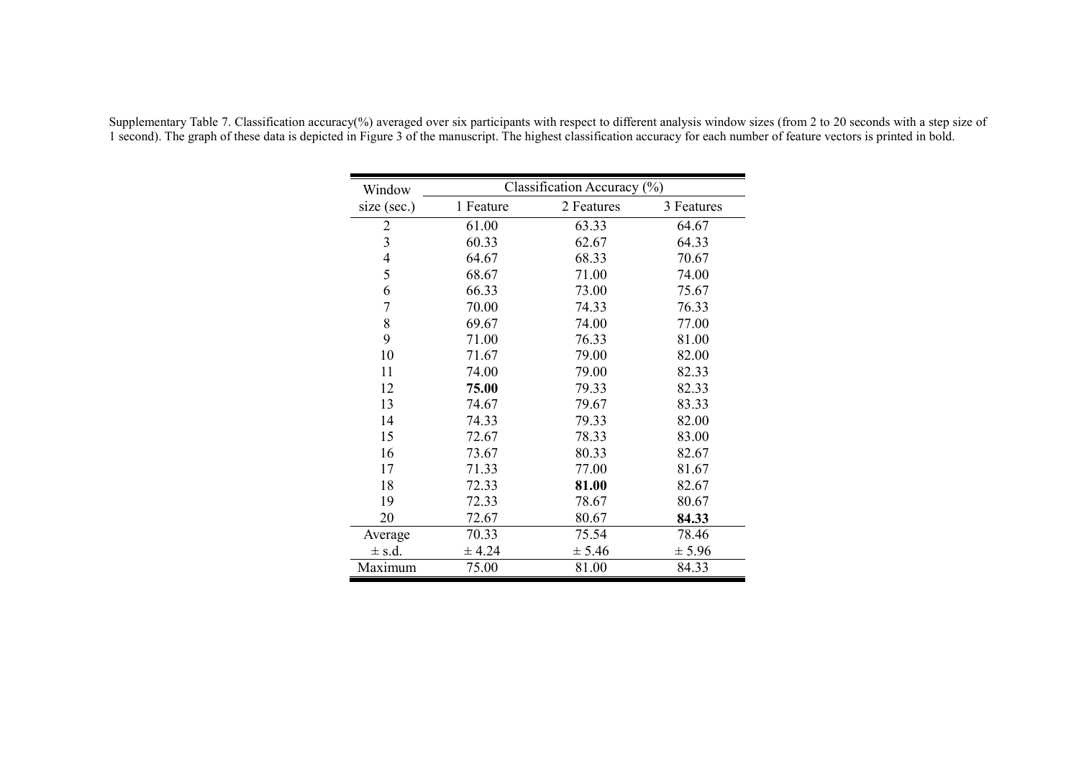| Window         |           | Classification Accuracy (%) |            |
|----------------|-----------|-----------------------------|------------|
| size (sec.)    | 1 Feature | 2 Features                  | 3 Features |
| $\overline{c}$ | 61.00     | 63.33                       | 64.67      |
| 3              | 60.33     | 62.67                       | 64.33      |
| $\overline{4}$ | 64.67     | 68.33                       | 70.67      |
| 5              | 68.67     | 71.00                       | 74.00      |
| 6              | 66.33     | 73.00                       | 75.67      |
| 7              | 70.00     | 74.33                       | 76.33      |
| 8              | 69.67     | 74.00                       | 77.00      |
| 9              | 71.00     | 76.33                       | 81.00      |
| 10             | 71.67     | 79.00                       | 82.00      |
| 11             | 74.00     | 79.00                       | 82.33      |
| 12             | 75.00     | 79.33                       | 82.33      |
| 13             | 74.67     | 79.67                       | 83.33      |
| 14             | 74.33     | 79.33                       | 82.00      |
| 15             | 72.67     | 78.33                       | 83.00      |
| 16             | 73.67     | 80.33                       | 82.67      |
| 17             | 71.33     | 77.00                       | 81.67      |
| 18             | 72.33     | 81.00                       | 82.67      |
| 19             | 72.33     | 78.67                       | 80.67      |
| 20             | 72.67     | 80.67                       | 84.33      |
| Average        | 70.33     | 75.54                       | 78.46      |
| $\pm$ s.d.     | ± 4.24    | ± 5.46                      | ± 5.96     |
| Maximum        | 75.00     | 81.00                       | 84.33      |

Supplementary Table 7. Classification accuracy(%) averaged over six participants with respect to different analysis window sizes (from 2 to 20 seconds with a step size of 1 second). The graph of these data is depicted in Figure 3 of the manuscript. The highest classification accuracy for each number of feature vectors is printed in bold.